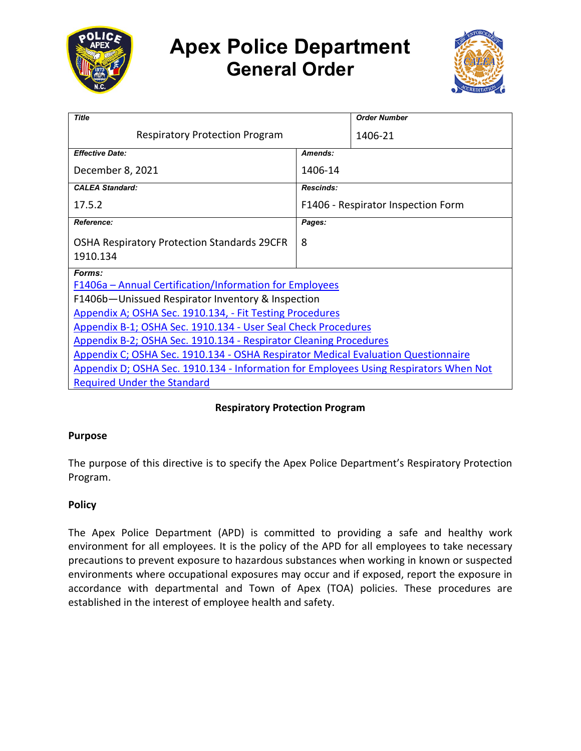

# **Apex Police Department General Order**



| <b>Title</b>                                                                          |                                    | <b>Order Number</b> |
|---------------------------------------------------------------------------------------|------------------------------------|---------------------|
| <b>Respiratory Protection Program</b>                                                 |                                    | 1406-21             |
| <b>Effective Date:</b>                                                                | Amends:                            |                     |
| December 8, 2021                                                                      | 1406-14                            |                     |
| <b>CALEA Standard:</b>                                                                | Rescinds:                          |                     |
| 17.5.2                                                                                | F1406 - Respirator Inspection Form |                     |
| <b>Reference:</b>                                                                     | Pages:                             |                     |
| <b>OSHA Respiratory Protection Standards 29CFR</b><br>1910.134                        | 8                                  |                     |
| Forms:                                                                                |                                    |                     |
| F1406a – Annual Certification/Information for Employees                               |                                    |                     |
| F1406b-Unissued Respirator Inventory & Inspection                                     |                                    |                     |
| Appendix A; OSHA Sec. 1910.134, - Fit Testing Procedures                              |                                    |                     |
| Appendix B-1; OSHA Sec. 1910.134 - User Seal Check Procedures                         |                                    |                     |
| Appendix B-2; OSHA Sec. 1910.134 - Respirator Cleaning Procedures                     |                                    |                     |
| Appendix C; OSHA Sec. 1910.134 - OSHA Respirator Medical Evaluation Questionnaire     |                                    |                     |
| Appendix D; OSHA Sec. 1910.134 - Information for Employees Using Respirators When Not |                                    |                     |
| <b>Required Under the Standard</b>                                                    |                                    |                     |

# **Respiratory Protection Program**

# **Purpose**

The purpose of this directive is to specify the Apex Police Department's Respiratory Protection Program.

# **Policy**

The Apex Police Department (APD) is committed to providing a safe and healthy work environment for all employees. It is the policy of the APD for all employees to take necessary precautions to prevent exposure to hazardous substances when working in known or suspected environments where occupational exposures may occur and if exposed, report the exposure in accordance with departmental and Town of Apex (TOA) policies. These procedures are established in the interest of employee health and safety.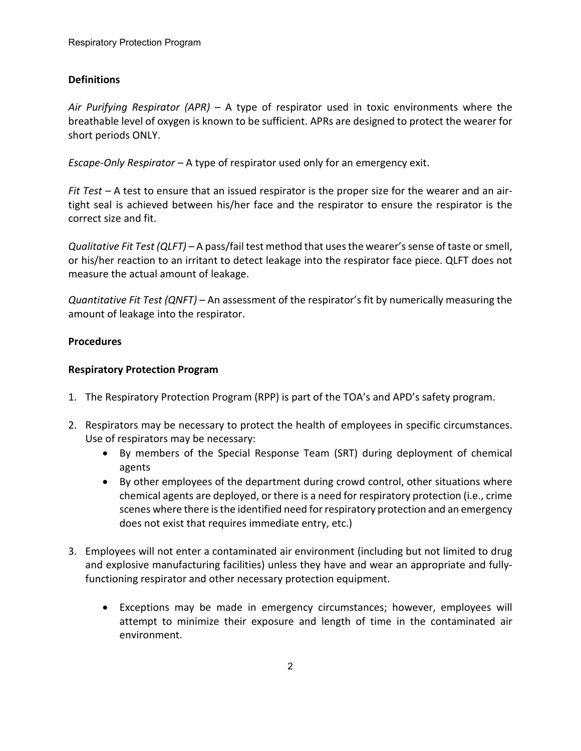# **Definitions**

*Air Purifying Respirator (APR) –* A type of respirator used in toxic environments where the breathable level of oxygen is known to be sufficient. APRs are designed to protect the wearer for short periods ONLY.

*Escape-Only Respirator –* A type of respirator used only for an emergency exit.

*Fit Test –* A test to ensure that an issued respirator is the proper size for the wearer and an airtight seal is achieved between his/her face and the respirator to ensure the respirator is the correct size and fit.

*Qualitative Fit Test (QLFT)* – A pass/fail test method that uses the wearer's sense of taste or smell, or his/her reaction to an irritant to detect leakage into the respirator face piece. QLFT does not measure the actual amount of leakage.

*Quantitative Fit Test (QNFT) –* An assessment of the respirator's fit by numerically measuring the amount of leakage into the respirator.

# **Procedures**

# **Respiratory Protection Program**

- 1. The Respiratory Protection Program (RPP) is part of the TOA's and APD's safety program.
- 2. Respirators may be necessary to protect the health of employees in specific circumstances. Use of respirators may be necessary:
	- By members of the Special Response Team (SRT) during deployment of chemical agents
	- By other employees of the department during crowd control, other situations where chemical agents are deployed, or there is a need for respiratory protection (i.e., crime scenes where there is the identified need for respiratory protection and an emergency does not exist that requires immediate entry, etc.)
- 3. Employees will not enter a contaminated air environment (including but not limited to drug and explosive manufacturing facilities) unless they have and wear an appropriate and fullyfunctioning respirator and other necessary protection equipment.
	- Exceptions may be made in emergency circumstances; however, employees will attempt to minimize their exposure and length of time in the contaminated air environment.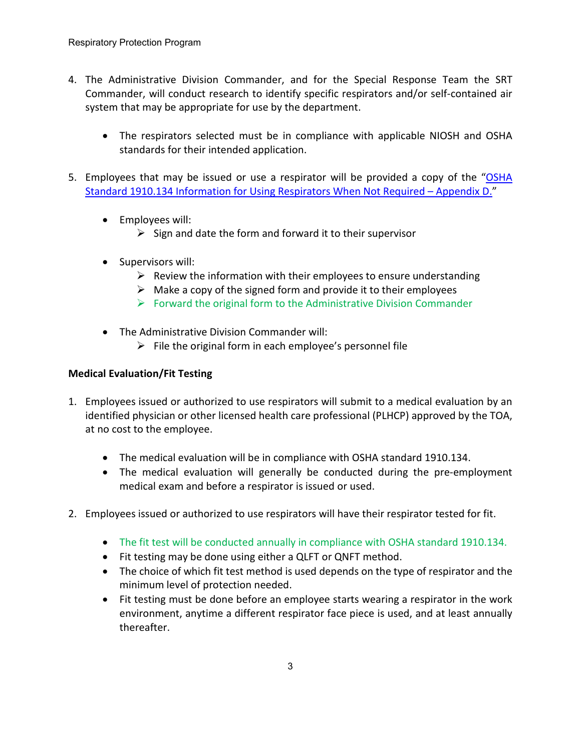- 4. The Administrative Division Commander, and for the Special Response Team the SRT Commander, will conduct research to identify specific respirators and/or self-contained air system that may be appropriate for use by the department.
	- The respirators selected must be in compliance with applicable NIOSH and OSHA standards for their intended application.
- 5. Employees that may be issued or use a respirator will be provided a copy of the "OSHA [Standard 1910.134 Information for Using Respirators When Not Required –](https://powerdms.com/link/APEXPD/document/?id=444615) Appendix D."
	- Employees will:
		- $\triangleright$  Sign and date the form and forward it to their supervisor
	- Supervisors will:
		- $\triangleright$  Review the information with their employees to ensure understanding
		- $\triangleright$  Make a copy of the signed form and provide it to their employees
		- $\triangleright$  Forward the original form to the Administrative Division Commander
	- The Administrative Division Commander will:
		- $\triangleright$  File the original form in each employee's personnel file

# **Medical Evaluation/Fit Testing**

- 1. Employees issued or authorized to use respirators will submit to a medical evaluation by an identified physician or other licensed health care professional (PLHCP) approved by the TOA, at no cost to the employee.
	- The medical evaluation will be in compliance with OSHA standard 1910.134.
	- The medical evaluation will generally be conducted during the pre-employment medical exam and before a respirator is issued or used.
- 2. Employees issued or authorized to use respirators will have their respirator tested for fit.
	- The fit test will be conducted annually in compliance with OSHA standard 1910.134.
	- Fit testing may be done using either a QLFT or QNFT method.
	- The choice of which fit test method is used depends on the type of respirator and the minimum level of protection needed.
	- Fit testing must be done before an employee starts wearing a respirator in the work environment, anytime a different respirator face piece is used, and at least annually thereafter.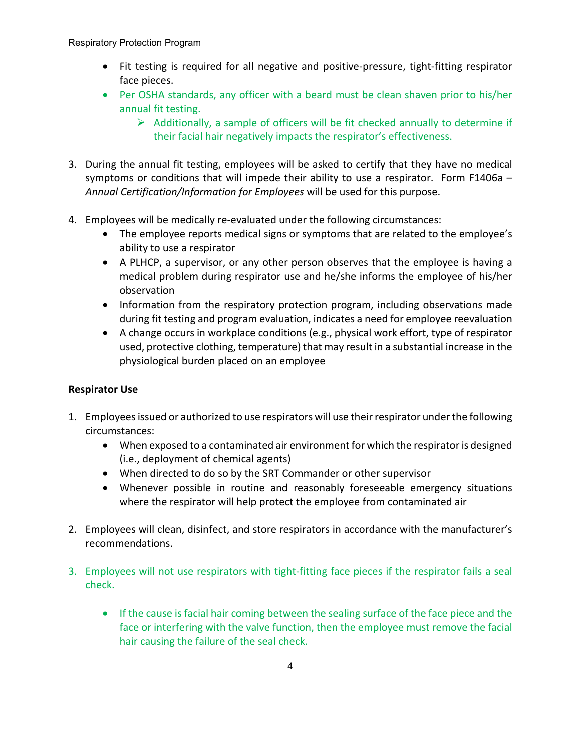- Fit testing is required for all negative and positive-pressure, tight-fitting respirator face pieces.
- Per OSHA standards, any officer with a beard must be clean shaven prior to his/her annual fit testing.
	- $\triangleright$  Additionally, a sample of officers will be fit checked annually to determine if their facial hair negatively impacts the respirator's effectiveness.
- 3. During the annual fit testing, employees will be asked to certify that they have no medical symptoms or conditions that will impede their ability to use a respirator. Form F1406a -*Annual Certification/Information for Employees* will be used for this purpose.
- 4. Employees will be medically re-evaluated under the following circumstances:
	- The employee reports medical signs or symptoms that are related to the employee's ability to use a respirator
	- A PLHCP, a supervisor, or any other person observes that the employee is having a medical problem during respirator use and he/she informs the employee of his/her observation
	- Information from the respiratory protection program, including observations made during fit testing and program evaluation, indicates a need for employee reevaluation
	- A change occurs in workplace conditions (e.g., physical work effort, type of respirator used, protective clothing, temperature) that may result in a substantial increase in the physiological burden placed on an employee

# **Respirator Use**

- 1. Employees issued or authorized to use respirators will use their respirator under the following circumstances:
	- When exposed to a contaminated air environment for which the respirator is designed (i.e., deployment of chemical agents)
	- When directed to do so by the SRT Commander or other supervisor
	- Whenever possible in routine and reasonably foreseeable emergency situations where the respirator will help protect the employee from contaminated air
- 2. Employees will clean, disinfect, and store respirators in accordance with the manufacturer's recommendations.
- 3. Employees will not use respirators with tight-fitting face pieces if the respirator fails a seal check.
	- If the cause is facial hair coming between the sealing surface of the face piece and the face or interfering with the valve function, then the employee must remove the facial hair causing the failure of the seal check.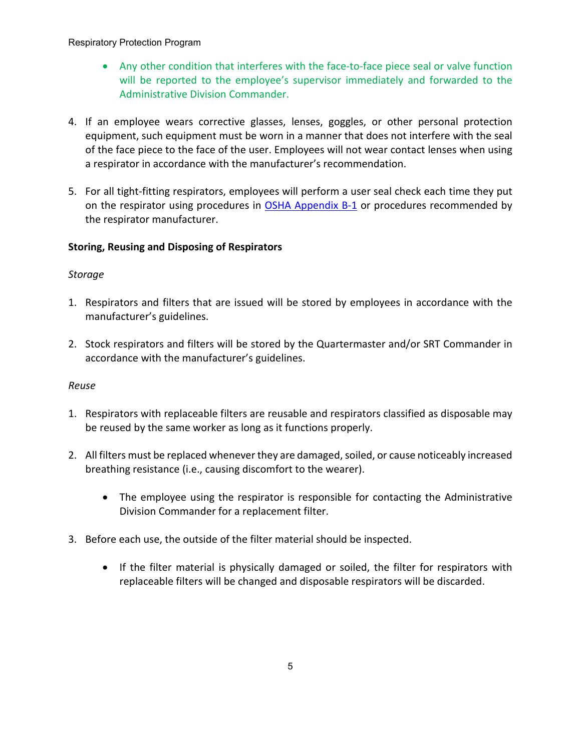- Any other condition that interferes with the face-to-face piece seal or valve function will be reported to the employee's supervisor immediately and forwarded to the Administrative Division Commander.
- 4. If an employee wears corrective glasses, lenses, goggles, or other personal protection equipment, such equipment must be worn in a manner that does not interfere with the seal of the face piece to the face of the user. Employees will not wear contact lenses when using a respirator in accordance with the manufacturer's recommendation.
- 5. For all tight-fitting respirators, employees will perform a user seal check each time they put on the respirator using procedures in [OSHA Appendix B-1](https://powerdms.com/link/APEXPD/document/?id=444610) or procedures recommended by the respirator manufacturer.

# **Storing, Reusing and Disposing of Respirators**

# *Storage*

- 1. Respirators and filters that are issued will be stored by employees in accordance with the manufacturer's guidelines.
- 2. Stock respirators and filters will be stored by the Quartermaster and/or SRT Commander in accordance with the manufacturer's guidelines.

# *Reuse*

- 1. Respirators with replaceable filters are reusable and respirators classified as disposable may be reused by the same worker as long as it functions properly.
- 2. All filters must be replaced whenever they are damaged, soiled, or cause noticeably increased breathing resistance (i.e., causing discomfort to the wearer).
	- The employee using the respirator is responsible for contacting the Administrative Division Commander for a replacement filter.
- 3. Before each use, the outside of the filter material should be inspected.
	- If the filter material is physically damaged or soiled, the filter for respirators with replaceable filters will be changed and disposable respirators will be discarded.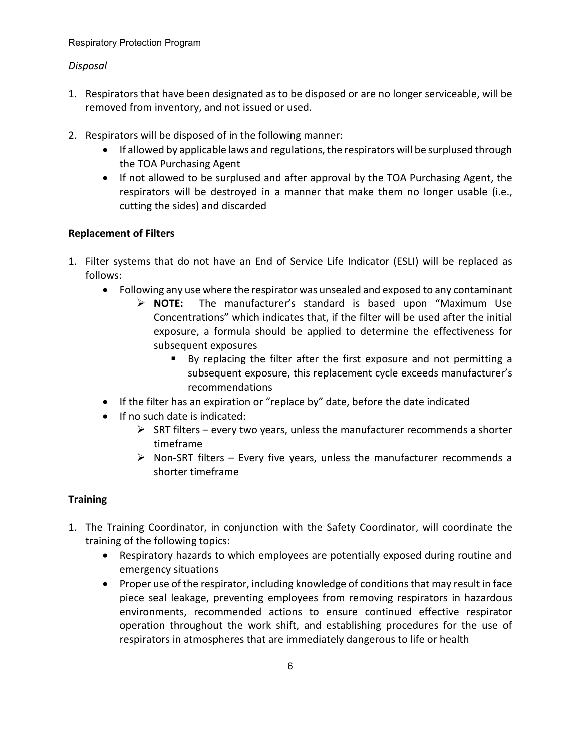# *Disposal*

- 1. Respirators that have been designated as to be disposed or are no longer serviceable, will be removed from inventory, and not issued or used.
- 2. Respirators will be disposed of in the following manner:
	- If allowed by applicable laws and regulations, the respirators will be surplused through the TOA Purchasing Agent
	- If not allowed to be surplused and after approval by the TOA Purchasing Agent, the respirators will be destroyed in a manner that make them no longer usable (i.e., cutting the sides) and discarded

# **Replacement of Filters**

- 1. Filter systems that do not have an End of Service Life Indicator (ESLI) will be replaced as follows:
	- Following any use where the respirator was unsealed and exposed to any contaminant
		- **NOTE:** The manufacturer's standard is based upon "Maximum Use Concentrations" which indicates that, if the filter will be used after the initial exposure, a formula should be applied to determine the effectiveness for subsequent exposures
			- By replacing the filter after the first exposure and not permitting a subsequent exposure, this replacement cycle exceeds manufacturer's recommendations
	- If the filter has an expiration or "replace by" date, before the date indicated
	- If no such date is indicated:
		- $\triangleright$  SRT filters every two years, unless the manufacturer recommends a shorter timeframe
		- $\triangleright$  Non-SRT filters Every five years, unless the manufacturer recommends a shorter timeframe

# **Training**

- 1. The Training Coordinator, in conjunction with the Safety Coordinator, will coordinate the training of the following topics:
	- Respiratory hazards to which employees are potentially exposed during routine and emergency situations
	- Proper use of the respirator, including knowledge of conditions that may result in face piece seal leakage, preventing employees from removing respirators in hazardous environments, recommended actions to ensure continued effective respirator operation throughout the work shift, and establishing procedures for the use of respirators in atmospheres that are immediately dangerous to life or health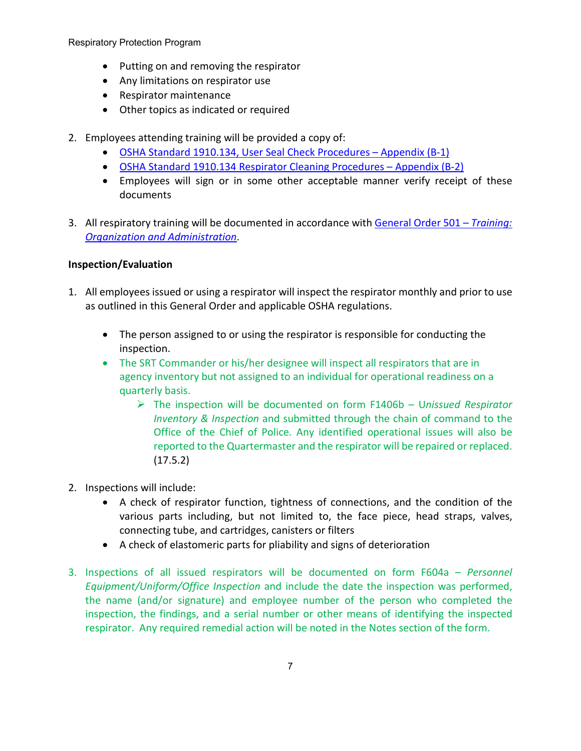- Putting on and removing the respirator
- Any limitations on respirator use
- Respirator maintenance
- Other topics as indicated or required
- 2. Employees attending training will be provided a copy of:
	- [OSHA Standard 1910.134, User Seal Check Procedures –](https://powerdms.com/link/APEXPD/document/?id=444610) Appendix (B-1)
	- [OSHA Standard 1910.134 Respirator Cleaning Procedures –](https://powerdms.com/link/APEXPD/document/?id=444612) Appendix (B-2)
	- Employees will sign or in some other acceptable manner verify receipt of these documents
- 3. All respiratory training will be documented in accordance with [General Order 501 –](https://powerdms.com/link/APEXPD/document/?id=442987) *Training: [Organization and Administration](https://powerdms.com/link/APEXPD/document/?id=442987)*.

# **Inspection/Evaluation**

- 1. All employees issued or using a respirator will inspect the respirator monthly and prior to use as outlined in this General Order and applicable OSHA regulations.
	- The person assigned to or using the respirator is responsible for conducting the inspection.
	- The SRT Commander or his/her designee will inspect all respirators that are in agency inventory but not assigned to an individual for operational readiness on a quarterly basis.
		- The inspection will be documented on form F1406b U*nissued Respirator Inventory & Inspection* and submitted through the chain of command to the Office of the Chief of Police*.* Any identified operational issues will also be reported to the Quartermaster and the respirator will be repaired or replaced. (17.5.2)
- 2. Inspections will include:
	- A check of respirator function, tightness of connections, and the condition of the various parts including, but not limited to, the face piece, head straps, valves, connecting tube, and cartridges, canisters or filters
	- A check of elastomeric parts for pliability and signs of deterioration
- 3. Inspections of all issued respirators will be documented on form F604a *Personnel Equipment/Uniform/Office Inspection* and include the date the inspection was performed, the name (and/or signature) and employee number of the person who completed the inspection, the findings, and a serial number or other means of identifying the inspected respirator. Any required remedial action will be noted in the Notes section of the form.